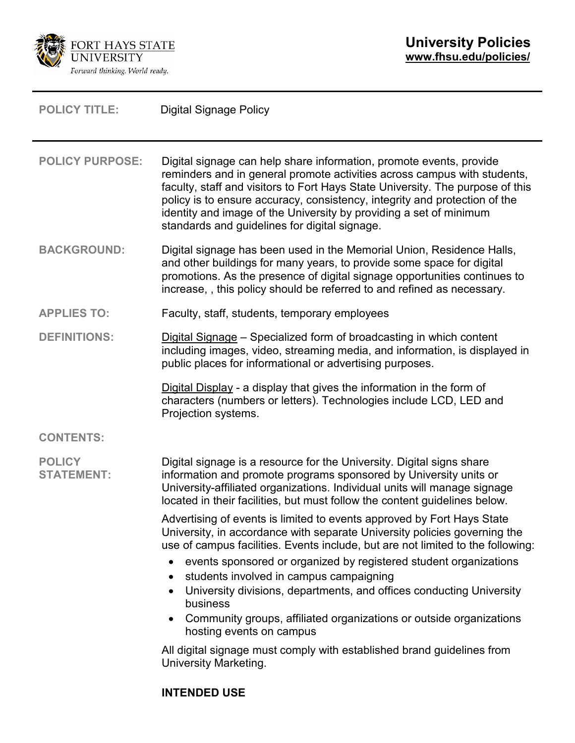

| <b>POLICY TITLE:</b>               | <b>Digital Signage Policy</b>                                                                                                                                                                                                                                                                                                                                                                                                                                                                                                                                                                                                                                                           |  |
|------------------------------------|-----------------------------------------------------------------------------------------------------------------------------------------------------------------------------------------------------------------------------------------------------------------------------------------------------------------------------------------------------------------------------------------------------------------------------------------------------------------------------------------------------------------------------------------------------------------------------------------------------------------------------------------------------------------------------------------|--|
| <b>POLICY PURPOSE:</b>             | Digital signage can help share information, promote events, provide<br>reminders and in general promote activities across campus with students,<br>faculty, staff and visitors to Fort Hays State University. The purpose of this<br>policy is to ensure accuracy, consistency, integrity and protection of the<br>identity and image of the University by providing a set of minimum<br>standards and guidelines for digital signage.                                                                                                                                                                                                                                                  |  |
| <b>BACKGROUND:</b>                 | Digital signage has been used in the Memorial Union, Residence Halls,<br>and other buildings for many years, to provide some space for digital<br>promotions. As the presence of digital signage opportunities continues to<br>increase,, this policy should be referred to and refined as necessary.                                                                                                                                                                                                                                                                                                                                                                                   |  |
| <b>APPLIES TO:</b>                 | Faculty, staff, students, temporary employees                                                                                                                                                                                                                                                                                                                                                                                                                                                                                                                                                                                                                                           |  |
| <b>DEFINITIONS:</b>                | Digital Signage - Specialized form of broadcasting in which content<br>including images, video, streaming media, and information, is displayed in<br>public places for informational or advertising purposes.                                                                                                                                                                                                                                                                                                                                                                                                                                                                           |  |
|                                    | Digital Display - a display that gives the information in the form of<br>characters (numbers or letters). Technologies include LCD, LED and<br>Projection systems.                                                                                                                                                                                                                                                                                                                                                                                                                                                                                                                      |  |
| <b>CONTENTS:</b>                   |                                                                                                                                                                                                                                                                                                                                                                                                                                                                                                                                                                                                                                                                                         |  |
| <b>POLICY</b><br><b>STATEMENT:</b> | Digital signage is a resource for the University. Digital signs share<br>information and promote programs sponsored by University units or<br>University-affiliated organizations. Individual units will manage signage<br>located in their facilities, but must follow the content guidelines below.                                                                                                                                                                                                                                                                                                                                                                                   |  |
|                                    | Advertising of events is limited to events approved by Fort Hays State<br>University, in accordance with separate University policies governing the<br>use of campus facilities. Events include, but are not limited to the following:<br>events sponsored or organized by registered student organizations<br>$\bullet$<br>students involved in campus campaigning<br>$\bullet$<br>University divisions, departments, and offices conducting University<br>business<br>Community groups, affiliated organizations or outside organizations<br>$\bullet$<br>hosting events on campus<br>All digital signage must comply with established brand guidelines from<br>University Marketing. |  |
|                                    |                                                                                                                                                                                                                                                                                                                                                                                                                                                                                                                                                                                                                                                                                         |  |

# **INTENDED USE**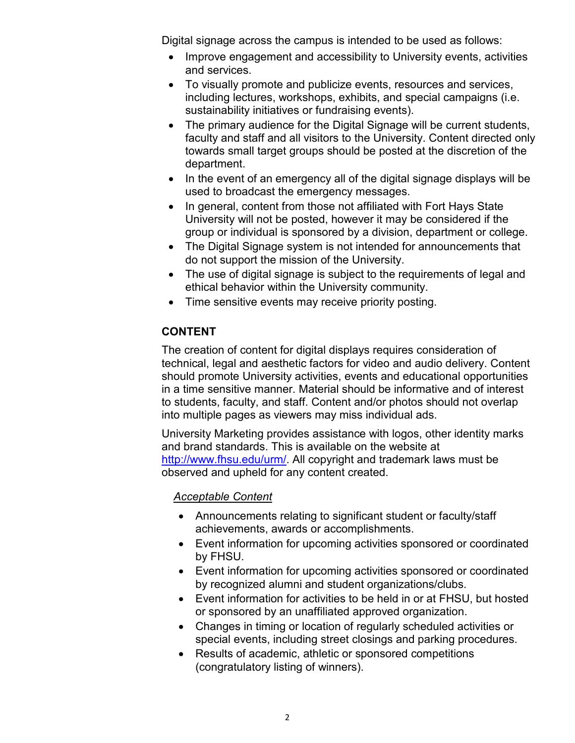Digital signage across the campus is intended to be used as follows:

- Improve engagement and accessibility to University events, activities and services.
- To visually promote and publicize events, resources and services, including lectures, workshops, exhibits, and special campaigns (i.e. sustainability initiatives or fundraising events).
- The primary audience for the Digital Signage will be current students, faculty and staff and all visitors to the University. Content directed only towards small target groups should be posted at the discretion of the department.
- In the event of an emergency all of the digital signage displays will be used to broadcast the emergency messages.
- In general, content from those not affiliated with Fort Hays State University will not be posted, however it may be considered if the group or individual is sponsored by a division, department or college.
- The Digital Signage system is not intended for announcements that do not support the mission of the University.
- The use of digital signage is subject to the requirements of legal and ethical behavior within the University community.
- Time sensitive events may receive priority posting.

## **CONTENT**

The creation of content for digital displays requires consideration of technical, legal and aesthetic factors for video and audio delivery. Content should promote University activities, events and educational opportunities in a time sensitive manner. Material should be informative and of interest to students, faculty, and staff. Content and/or photos should not overlap into multiple pages as viewers may miss individual ads.

University Marketing provides assistance with logos, other identity marks and brand standards. This is available on the website at [http://www.fhsu.edu/urm/.](http://www.fhsu.edu/urm/) All copyright and trademark laws must be observed and upheld for any content created.

### *Acceptable Content*

- Announcements relating to significant student or faculty/staff achievements, awards or accomplishments.
- Event information for upcoming activities sponsored or coordinated by FHSU.
- Event information for upcoming activities sponsored or coordinated by recognized alumni and student organizations/clubs.
- Event information for activities to be held in or at FHSU, but hosted or sponsored by an unaffiliated approved organization.
- Changes in timing or location of regularly scheduled activities or special events, including street closings and parking procedures.
- Results of academic, athletic or sponsored competitions (congratulatory listing of winners).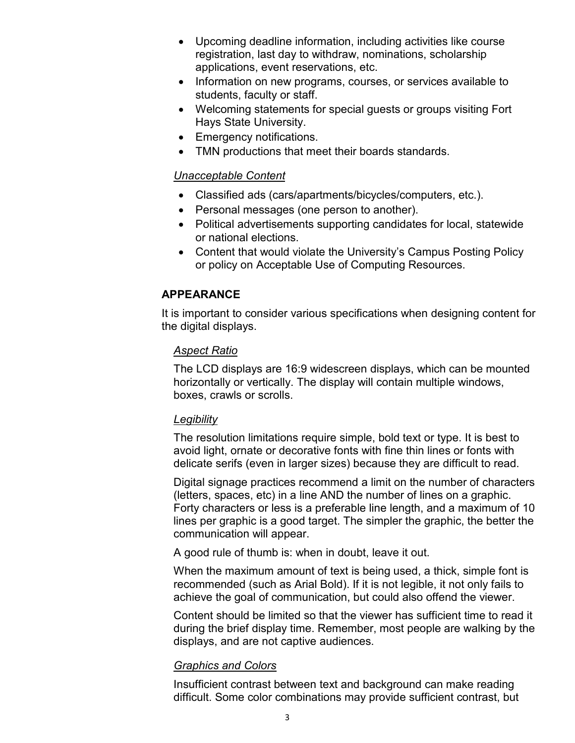- Upcoming deadline information, including activities like course registration, last day to withdraw, nominations, scholarship applications, event reservations, etc.
- Information on new programs, courses, or services available to students, faculty or staff.
- Welcoming statements for special guests or groups visiting Fort Hays State University.
- Emergency notifications.
- TMN productions that meet their boards standards.

## *Unacceptable Content*

- Classified ads (cars/apartments/bicycles/computers, etc.).
- Personal messages (one person to another).
- Political advertisements supporting candidates for local, statewide or national elections.
- Content that would violate the University's Campus Posting Policy or policy on Acceptable Use of Computing Resources.

# **APPEARANCE**

It is important to consider various specifications when designing content for the digital displays.

## *Aspect Ratio*

The LCD displays are 16:9 widescreen displays, which can be mounted horizontally or vertically. The display will contain multiple windows, boxes, crawls or scrolls.

### *Legibility*

The resolution limitations require simple, bold text or type. It is best to avoid light, ornate or decorative fonts with fine thin lines or fonts with delicate serifs (even in larger sizes) because they are difficult to read.

Digital signage practices recommend a limit on the number of characters (letters, spaces, etc) in a line AND the number of lines on a graphic. Forty characters or less is a preferable line length, and a maximum of 10 lines per graphic is a good target. The simpler the graphic, the better the communication will appear.

A good rule of thumb is: when in doubt, leave it out.

When the maximum amount of text is being used, a thick, simple font is recommended (such as Arial Bold). If it is not legible, it not only fails to achieve the goal of communication, but could also offend the viewer.

Content should be limited so that the viewer has sufficient time to read it during the brief display time. Remember, most people are walking by the displays, and are not captive audiences.

### *Graphics and Colors*

Insufficient contrast between text and background can make reading difficult. Some color combinations may provide sufficient contrast, but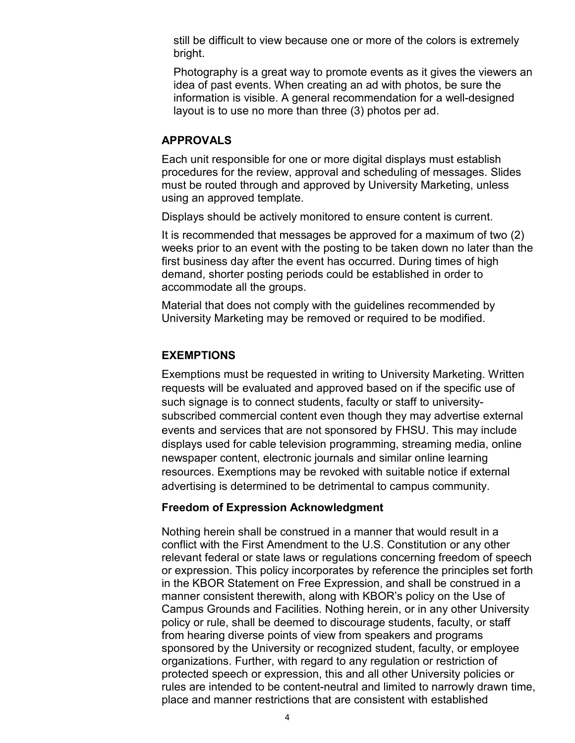still be difficult to view because one or more of the colors is extremely bright.

Photography is a great way to promote events as it gives the viewers an idea of past events. When creating an ad with photos, be sure the information is visible. A general recommendation for a well-designed layout is to use no more than three (3) photos per ad.

#### **APPROVALS**

Each unit responsible for one or more digital displays must establish procedures for the review, approval and scheduling of messages. Slides must be routed through and approved by University Marketing, unless using an approved template.

Displays should be actively monitored to ensure content is current.

It is recommended that messages be approved for a maximum of two (2) weeks prior to an event with the posting to be taken down no later than the first business day after the event has occurred. During times of high demand, shorter posting periods could be established in order to accommodate all the groups.

Material that does not comply with the guidelines recommended by University Marketing may be removed or required to be modified.

#### **EXEMPTIONS**

Exemptions must be requested in writing to University Marketing. Written requests will be evaluated and approved based on if the specific use of such signage is to connect students, faculty or staff to universitysubscribed commercial content even though they may advertise external events and services that are not sponsored by FHSU. This may include displays used for cable television programming, streaming media, online newspaper content, electronic journals and similar online learning resources. Exemptions may be revoked with suitable notice if external advertising is determined to be detrimental to campus community.

### **Freedom of Expression Acknowledgment**

Nothing herein shall be construed in a manner that would result in a conflict with the First Amendment to the U.S. Constitution or any other relevant federal or state laws or regulations concerning freedom of speech or expression. This policy incorporates by reference the principles set forth in the KBOR Statement on Free Expression, and shall be construed in a manner consistent therewith, along with KBOR's policy on the Use of Campus Grounds and Facilities. Nothing herein, or in any other University policy or rule, shall be deemed to discourage students, faculty, or staff from hearing diverse points of view from speakers and programs sponsored by the University or recognized student, faculty, or employee organizations. Further, with regard to any regulation or restriction of protected speech or expression, this and all other University policies or rules are intended to be content-neutral and limited to narrowly drawn time, place and manner restrictions that are consistent with established